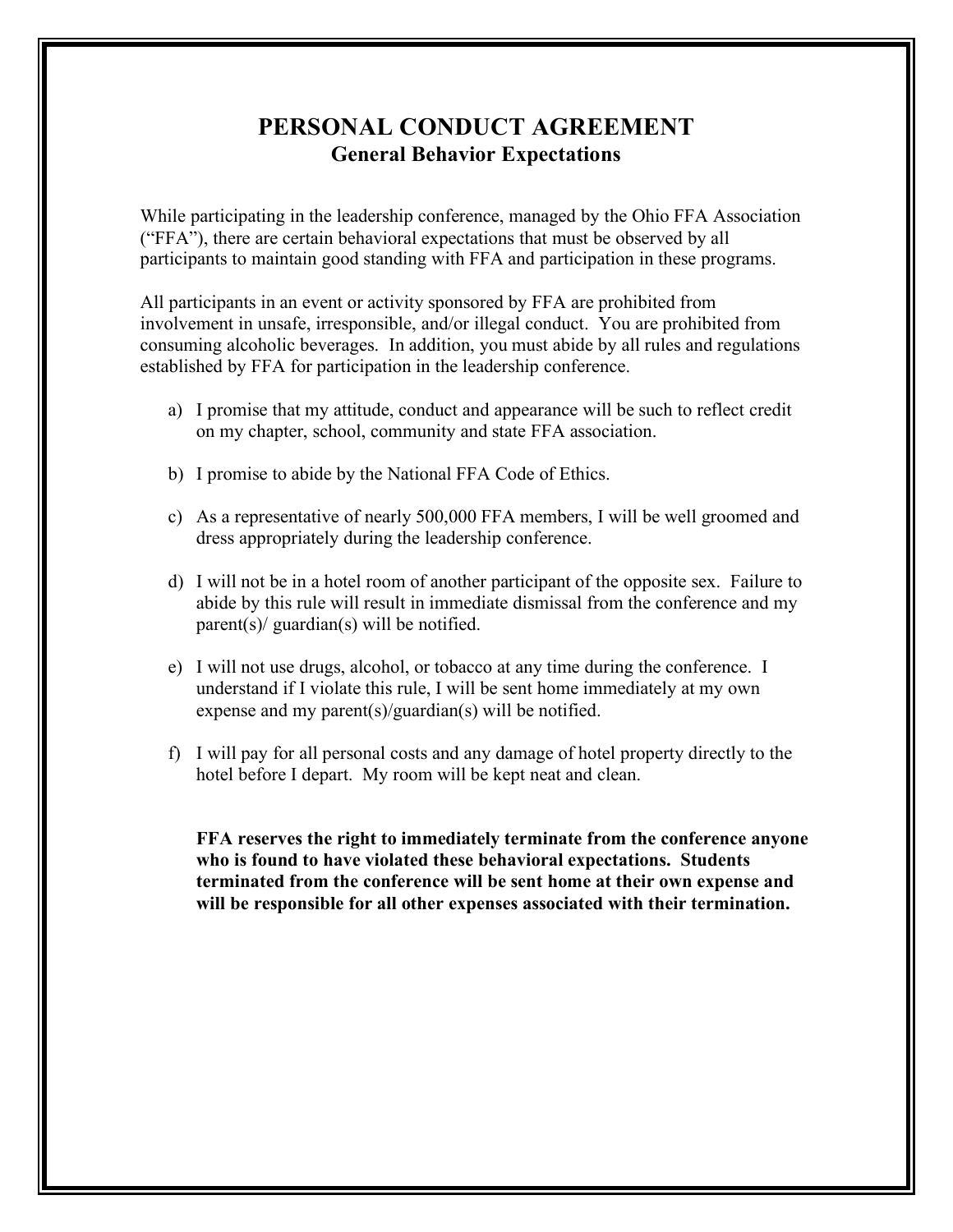## **PERSONAL CONDUCT AGREEMENT General Behavior Expectations**

While participating in the leadership conference, managed by the Ohio FFA Association ("FFA"), there are certain behavioral expectations that must be observed by all participants to maintain good standing with FFA and participation in these programs.

All participants in an event or activity sponsored by FFA are prohibited from involvement in unsafe, irresponsible, and/or illegal conduct. You are prohibited from consuming alcoholic beverages. In addition, you must abide by all rules and regulations established by FFA for participation in the leadership conference.

- a) I promise that my attitude, conduct and appearance will be such to reflect credit on my chapter, school, community and state FFA association.
- b) I promise to abide by the National FFA Code of Ethics.
- c) As a representative of nearly 500,000 FFA members, I will be well groomed and dress appropriately during the leadership conference.
- d) I will not be in a hotel room of another participant of the opposite sex. Failure to abide by this rule will result in immediate dismissal from the conference and my parent(s)/ guardian(s) will be notified.
- e) I will not use drugs, alcohol, or tobacco at any time during the conference. I understand if I violate this rule, I will be sent home immediately at my own expense and my parent(s)/guardian(s) will be notified.
- f) I will pay for all personal costs and any damage of hotel property directly to the hotel before I depart. My room will be kept neat and clean.

**FFA reserves the right to immediately terminate from the conference anyone who is found to have violated these behavioral expectations. Students terminated from the conference will be sent home at their own expense and will be responsible for all other expenses associated with their termination.**